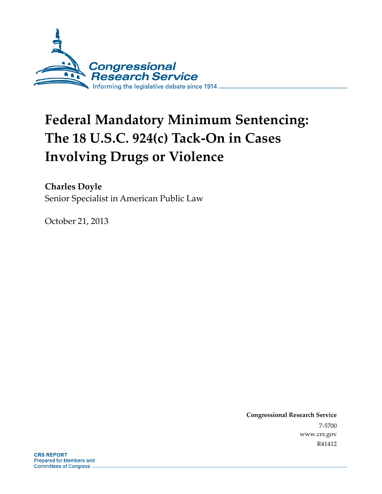

# **Federal Mandatory Minimum Sentencing: The 18 U.S.C. 924(c) Tack-On in Cases Involving Drugs or Violence**

**Charles Doyle**  Senior Specialist in American Public Law

October 21, 2013

**Congressional Research Service**  7-5700 www.crs.gov R41412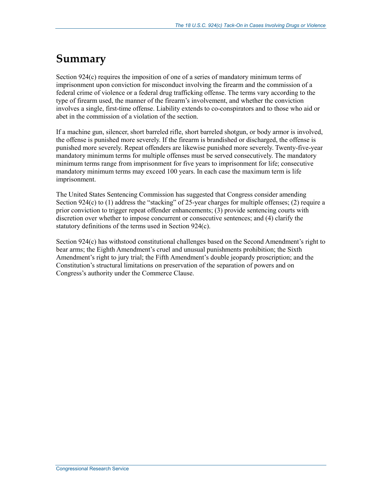## **Summary**

Section 924(c) requires the imposition of one of a series of mandatory minimum terms of imprisonment upon conviction for misconduct involving the firearm and the commission of a federal crime of violence or a federal drug trafficking offense. The terms vary according to the type of firearm used, the manner of the firearm's involvement, and whether the conviction involves a single, first-time offense. Liability extends to co-conspirators and to those who aid or abet in the commission of a violation of the section.

If a machine gun, silencer, short barreled rifle, short barreled shotgun, or body armor is involved, the offense is punished more severely. If the firearm is brandished or discharged, the offense is punished more severely. Repeat offenders are likewise punished more severely. Twenty-five-year mandatory minimum terms for multiple offenses must be served consecutively. The mandatory minimum terms range from imprisonment for five years to imprisonment for life; consecutive mandatory minimum terms may exceed 100 years. In each case the maximum term is life imprisonment.

The United States Sentencing Commission has suggested that Congress consider amending Section 924(c) to (1) address the "stacking" of 25-year charges for multiple offenses; (2) require a prior conviction to trigger repeat offender enhancements; (3) provide sentencing courts with discretion over whether to impose concurrent or consecutive sentences; and (4) clarify the statutory definitions of the terms used in Section 924(c).

Section 924(c) has withstood constitutional challenges based on the Second Amendment's right to bear arms; the Eighth Amendment's cruel and unusual punishments prohibition; the Sixth Amendment's right to jury trial; the Fifth Amendment's double jeopardy proscription; and the Constitution's structural limitations on preservation of the separation of powers and on Congress's authority under the Commerce Clause.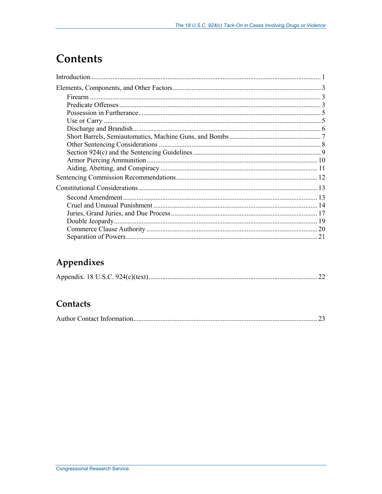## **Contents**

## Appendixes

|--|--|

## Contacts

|--|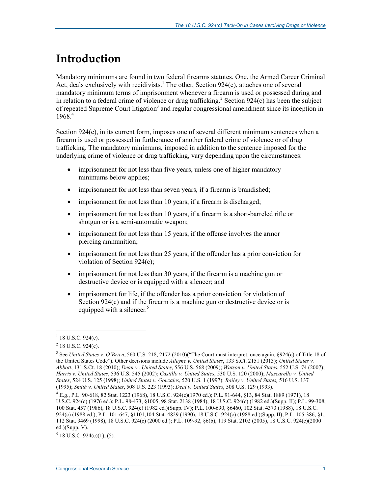## **Introduction**

Mandatory minimums are found in two federal firearms statutes. One, the Armed Career Criminal Act, deals exclusively with recidivists.<sup>1</sup> The other, Section 924 $(c)$ , attaches one of several mandatory minimum terms of imprisonment whenever a firearm is used or possessed during and in relation to a federal crime of violence or drug trafficking.<sup>2</sup> Section 924 $(c)$  has been the subject of repeated Supreme Court litigation<sup>3</sup> and regular congressional amendment since its inception in  $1968^{4}$ 

Section  $924(c)$ , in its current form, imposes one of several different minimum sentences when a firearm is used or possessed in furtherance of another federal crime of violence or of drug trafficking. The mandatory minimums, imposed in addition to the sentence imposed for the underlying crime of violence or drug trafficking, vary depending upon the circumstances:

- imprisonment for not less than five years, unless one of higher mandatory minimums below applies;
- imprisonment for not less than seven years, if a firearm is brandished;
- imprisonment for not less than 10 years, if a firearm is discharged;
- imprisonment for not less than 10 years, if a firearm is a short-barreled rifle or shotgun or is a semi-automatic weapon;
- imprisonment for not less than 15 years, if the offense involves the armor piercing ammunition;
- imprisonment for not less than 25 years, if the offender has a prior conviction for violation of Section 924(c);
- imprisonment for not less than 30 years, if the firearm is a machine gun or destructive device or is equipped with a silencer; and
- imprisonment for life, if the offender has a prior conviction for violation of Section 924(c) and if the firearm is a machine gun or destructive device or is equipped with a silencer.<sup>5</sup>

 $1$  18 U.S.C. 924(e).

 $2$  18 U.S.C. 924(c).

<sup>3</sup> See *United States v. O'Brien*, 560 U.S. 218, 2172 (2010)("The Court must interpret, once again, §924(c) of Title 18 of the United States Code"). Other decisions include *Alleyne v. United States*, 133 S.Ct. 2151 (2013); *United States v. Abbott*, 131 S.Ct. 18 (2010); *Dean v . United States*, 556 U.S. 568 (2009); *Watson v. United States*, 552 U.S. 74 (2007); *Harris v. United States*, 536 U.S. 545 (2002); *Castillo v. United States*, 530 U.S. 120 (2000); *Mascarello v. United States*, 524 U.S. 125 (1998); *United States v. Gonzales*, 520 U.S. 1 (1997); *Bailey v. United States,* 516 U.S. 137 (1995); *Smith v. United States*, 508 U.S. 223 (1993); *Deal v. United States*, 508 U.S. 129 (1993).

<sup>4</sup> E.g., P.L. 90-618, 82 Stat. 1223 (1968), 18 U.S.C. 924(c)(1970 ed.); P.L. 91-644, §13, 84 Stat. 1889 (1971), 18 U.S.C. 924(c) (1976 ed.); P.L. 98-473, §1005, 98 Stat. 2138 (1984), 18 U.S.C. 924(c) (1982 ed.)(Supp. II); P.L. 99-308, 100 Stat. 457 (1986), 18 U.S.C. 924(c) (1982 ed.)(Supp. IV); P.L. 100-690, §6460, 102 Stat. 4373 (1988), 18 U.S.C. 924(c) (1988 ed.); P.L. 101-647, §1101,104 Stat. 4829 (1990), 18 U.S.C. 924(c) (1988 ed.)(Supp. II); P.L. 105-386, §1, 112 Stat. 3469 (1998), 18 U.S.C. 924(c) (2000 ed.); P.L. 109-92, §6(b), 119 Stat. 2102 (2005), 18 U.S.C. 924(c)(2000 ed.)(Supp. V).

 $5$  18 U.S.C. 924(c)(1), (5).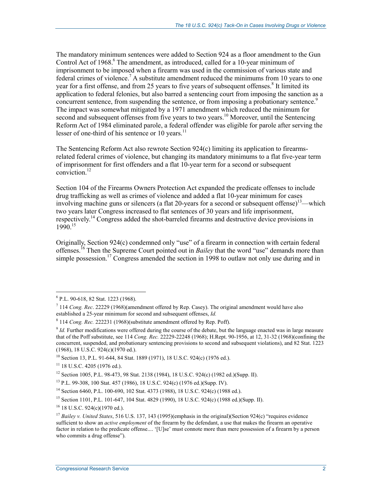The mandatory minimum sentences were added to Section 924 as a floor amendment to the Gun Control Act of 1968.<sup>6</sup> The amendment, as introduced, called for a 10-year minimum of imprisonment to be imposed when a firearm was used in the commission of various state and federal crimes of violence.<sup>7</sup> A substitute amendment reduced the minimums from 10 years to one year for a first offense, and from 25 years to five years of subsequent offenses.<sup>8</sup> It limited its application to federal felonies, but also barred a sentencing court from imposing the sanction as a concurrent sentence, from suspending the sentence, or from imposing a probationary sentence.<sup>9</sup> The impact was somewhat mitigated by a 1971 amendment which reduced the minimum for second and subsequent offenses from five years to two years.<sup>10</sup> Moreover, until the Sentencing Reform Act of 1984 eliminated parole, a federal offender was eligible for parole after serving the lesser of one-third of his sentence or 10 years. $^{11}$ 

The Sentencing Reform Act also rewrote Section 924(c) limiting its application to firearmsrelated federal crimes of violence, but changing its mandatory minimums to a flat five-year term of imprisonment for first offenders and a flat 10-year term for a second or subsequent conviction.12

Section 104 of the Firearms Owners Protection Act expanded the predicate offenses to include drug trafficking as well as crimes of violence and added a flat 10-year minimum for cases involving machine guns or silencers (a flat 20-years for a second or subsequent offense)<sup>13</sup>—which two years later Congress increased to flat sentences of 30 years and life imprisonment, respectively.14 Congress added the shot-barreled firearms and destructive device provisions in  $1990^{15}$ 

Originally, Section 924(c) condemned only "use" of a firearm in connection with certain federal offenses.16 Then the Supreme Court pointed out in *Bailey* that the word "use" demands more than simple possession.<sup>17</sup> Congress amended the section in 1998 to outlaw not only use during and in

<u>.</u>

<sup>6</sup> P.L. 90-618, 82 Stat. 1223 (1968).

<sup>7</sup> 114 *Cong. Rec*. 22229 (1968)(amendment offered by Rep. Casey). The original amendment would have also established a 25-year minimum for second and subsequent offenses, *Id.* 

<sup>8</sup> 114 *Cong. Rec.* 222231 (1968)(substitute amendment offered by Rep. Poff).

<sup>9</sup> *Id.* Further modifications were offered during the course of the debate, but the language enacted was in large measure that of the Poff substitute, see 114 *Cong. Rec.* 22229-22248 (1968); H.Rept. 90-1956, at 12, 31-32 (1968)(confining the concurrent, suspended, and probationary sentencing provisions to second and subsequent violations), and 82 Stat. 1223 (1968), 18 U.S.C. 924(c)(1970 ed.).

<sup>10</sup> Section 13, P.L. 91-644, 84 Stat. 1889 (1971), 18 U.S.C. 924(c) (1976 ed.).

 $11$  18 U.S.C. 4205 (1976 ed.).

<sup>12</sup> Section 1005, P.L. 98-473, 98 Stat. 2138 (1984), 18 U.S.C. 924(c) (1982 ed.)(Supp. II).

<sup>13</sup> P.L. 99-308, 100 Stat. 457 (1986), 18 U.S.C. 924(c) (1976 ed.)(Supp. IV).

<sup>14</sup> Section 6460, P.L. 100-690, 102 Stat. 4373 (1988), 18 U.S.C. 924(c) (1988 ed.).

<sup>15</sup> Section 1101, P.L. 101-647, 104 Stat. 4829 (1990), 18 U.S.C. 924(c) (1988 ed.)(Supp. II).

<sup>16 18</sup> U.S.C. 924(c)(1970 ed.).

<sup>&</sup>lt;sup>17</sup> *Bailey v. United States*, 516 U.S. 137, 143 (1995)(emphasis in the original)(Section 924(c) "requires evidence sufficient to show an *active employment* of the firearm by the defendant, a use that makes the firearm an operative factor in relation to the predicate offense.... '[U]se' must connote more than mere possession of a firearm by a person who commits a drug offense").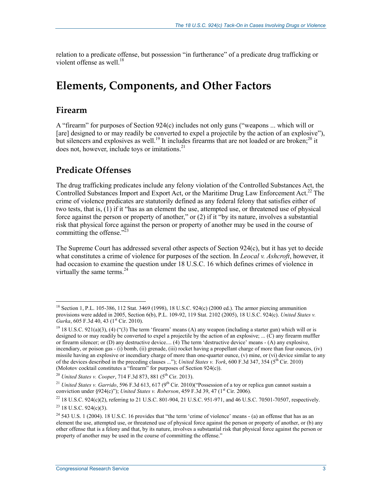relation to a predicate offense, but possession "in furtherance" of a predicate drug trafficking or violent offense as well. $^{18}$ 

## **Elements, Components, and Other Factors**

#### **Firearm**

<u>.</u>

A "firearm" for purposes of Section 924(c) includes not only guns ("weapons ... which will or [are] designed to or may readily be converted to expel a projectile by the action of an explosive"), but silencers and explosives as well.<sup>19</sup> It includes firearms that are not loaded or are broken;<sup>20</sup> it does not, however, include toys or imitations.<sup>21</sup>

### **Predicate Offenses**

The drug trafficking predicates include any felony violation of the Controlled Substances Act, the Controlled Substances Import and Export Act, or the Maritime Drug Law Enforcement Act.<sup>22</sup> The crime of violence predicates are statutorily defined as any federal felony that satisfies either of two tests, that is, (1) if it "has as an element the use, attempted use, or threatened use of physical force against the person or property of another," or (2) if it "by its nature, involves a substantial risk that physical force against the person or property of another may be used in the course of committing the offense." $^{23}$ 

The Supreme Court has addressed several other aspects of Section 924(c), but it has yet to decide what constitutes a crime of violence for purposes of the section. In *Leocal v. Ashcroft*, however, it had occasion to examine the question under 18 U.S.C. 16 which defines crimes of violence in virtually the same terms. $^{24}$ 

<sup>&</sup>lt;sup>18</sup> Section 1, P.L. 105-386, 112 Stat. 3469 (1998), 18 U.S.C. 924(c) (2000 ed.). The armor piercing ammunition provisions were added in 2005, Section 6(b), P.L. 109-92, 119 Stat. 2102 (2005), 18 U.S.C. 924(c). *United States v. Gurka*, 605 F.3d 40, 43 (1<sup>st</sup> Cir. 2010).

<sup>&</sup>lt;sup>19</sup> 18 U.S.C. 921(a)(3), (4) ("(3) The term 'firearm' means (A) any weapon (including a starter gun) which will or is designed to or may readily be converted to expel a projectile by the action of an explosive; ... (C) any firearm muffler or firearm silencer; or (D) any destructive device.... (4) The term 'destructive device' means - (A) any explosive, incendiary, or poison gas - (i) bomb, (ii) grenade, (iii) rocket having a propellant charge of more than four ounces, (iv) missile having an explosive or incendiary charge of more than one-quarter ounce, (v) mine, or (vi) device similar to any of the devices described in the preceding clauses ..."); *United States v. York*, 600 F.3d 347, 354 (5th Cir. 2010) (Molotov cocktail constitutes a "firearm" for purposes of Section 924(c)).

<sup>&</sup>lt;sup>20</sup> *United States v. Cooper*, 714 F.3d 873, 881 (5<sup>th</sup> Cir. 2013).

<sup>&</sup>lt;sup>21</sup> *United States v. Garrido*, 596 F.3d 613, 617 (9<sup>th</sup> Cir. 2010)("Possession of a toy or replica gun cannot sustain a conviction under §924(c)"); *United States v. Roberson*, 459 F.3d 39, 47 (1<sup>st</sup> Cir. 2006).

<sup>&</sup>lt;sup>22</sup> 18 U.S.C. 924(c)(2), referring to 21 U.S.C. 801-904, 21 U.S.C. 951-971, and 46 U.S.C. 70501-70507, respectively.  $23$  18 U.S.C. 924(c)(3).

<sup>&</sup>lt;sup>24</sup> 543 U.S. 1 (2004). 18 U.S.C. 16 provides that "the term 'crime of violence' means  $-$  (a) an offense that has as an element the use, attempted use, or threatened use of physical force against the person or property of another, or (b) any other offense that is a felony and that, by its nature, involves a substantial risk that physical force against the person or property of another may be used in the course of committing the offense."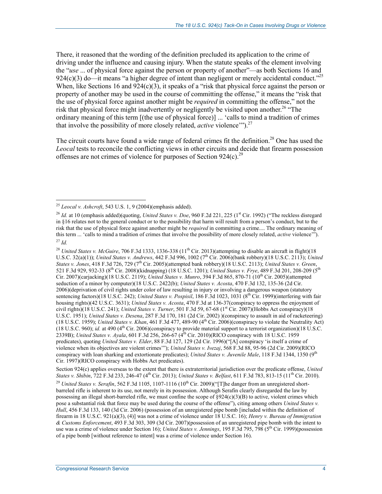There, it reasoned that the wording of the definition precluded its application to the crime of driving under the influence and causing injury. When the statute speaks of the element involving the "*use* ... of physical force against the person or property of another"—as both Sections 16 and 924(c)(3) do—it means "a higher degree of intent than negligent or merely accidental conduct."<sup>25</sup> When, like Sections 16 and  $924(c)(3)$ , it speaks of a "risk that physical force against the person or property of another may be used in the course of committing the offense," it means the "risk that the use of physical force against another might be *required* in committing the offense," not the risk that physical force might inadvertently or negligently be visited upon another.<sup>26</sup> "The ordinary meaning of this term [(the use of physical force)] ... 'calls to mind a tradition of crimes that involve the possibility of more closely related, *active* violence"").<sup>27</sup>

The circuit courts have found a wide range of federal crimes fit the definition.<sup>28</sup> One has used the *Leocal* tests to reconcile the conflicting views in other circuits and decide that firearm possession offenses are not crimes of violence for purposes of Section  $924(c)$ <sup>29</sup>

<sup>&</sup>lt;sup>25</sup> *Leocal v. Ashcroft*, 543 U.S. 1, 9 (2004)(emphasis added).

<sup>&</sup>lt;sup>26</sup> *Id.* at 10 (emphasis added)(quoting, *United States v. Doe*, 960 F.2d 221, 225 (1<sup>st</sup> Cir. 1992) ("The reckless disregard in §16 relates not to the general conduct or to the possibility that harm will result from a person's conduct, but to the risk that the use of physical force against another might be *required* in committing a crime.... The ordinary meaning of this term ... 'calls to mind a tradition of crimes that involve the possibility of more closely related, *active* violence'"). <sup>27</sup> *Id.* 

<sup>&</sup>lt;sup>28</sup> *United States v. McGuire*, 706 F.3d 1333, 1336-338 (11<sup>th</sup> Cir. 2013)(attempting to disable an aircraft in flight)(18 U.S.C. 32(a)(1)); *United States v. Andrews*, 442 F.3d 996, 1002 (7<sup>th</sup> Cir. 2006)(bank robbery)(18 U.S.C. 2113); *United States v. Jones*, 418 F.3d 726, 729 (7th Cir. 2005)(attempted bank robbery)(18 U.S.C. 2113); *United States v. Green*, 521 F.3d 929, 932-33 (8th Cir. 2008)(kidnapping) (18 U.S.C. 1201); *United States v. Frye*, 489 F.3d 201, 208-209 (5th Cir. 2007)(carjacking)(18 U.S.C. 2119); *United States v. Munro*, 394 F.3d 865, 870-71 (10th Cir. 2005)(attempted seduction of a minor by computer)(18 U.S.C. 2422(b); *United States v. Acosta*, 470 F.3d 132, 135-36 (2d Cir. 2006)(deprivation of civil rights under color of law resulting in injury or involving a dangerous weapon (statutory sentencing factors)(18 U.S.C. 242); *United States v. Pospisil*, 186 F.3d 1023, 1031 (8th Cir. 1999)(interfering with fair housing rights)(42 U.S.C. 3631); *United States v. Acosta*, 470 F.3d at 136-37(conspiracy to oppress the enjoyment of civil rights)(18 U.S.C. 241); *United States v. Turner*, 501 F.3d 59, 67-68 (1st Cir. 2007)(Hobbs Act conspiracy)(18 U.S.C. 1951); *United States v. Desena*, 287 F.3d 170, 181 (2d Cir. 2002) )(conspiracy to assault in aid of racketeering) (18 U.S.C. 1959); *United States v. Khan*, 461 F.3d 477, 489-90 (4th Cir. 2006)(conspiracy to violate the Neutrality Act) (18 U.S.C. 960); *id.* at 490 (4th Cir. 2006)(conspiracy to provide material support to a terrorist organization)(18 U.S.C. 2339B); *United States v. Ayala*, 601 F.3d 256, 266-67 (4th Cir. 2010)(RICO conspiracy with 18 U.S.C. 1959 predicates), quoting *United States v. Elder*, 88 F.3d 127, 129 (2d Cir. 1996)("[A] conspiracy 'is itself a crime of violence when its objectives are violent crimes'"); *United States v. Ivezaj*, 568 F.3d 88, 95-96 (2d Cir. 2009)(RICO conspiracy with loan sharking and extortionate predicates); *United States v. Juvenile Male*, 118 F.3d 1344, 1350 (9<sup>th</sup> Cir. 1997)(RICO conspiracy with Hobbs Act predicates).

Section 924(c) applies overseas to the extent that there is extraterritorial jurisdiction over the predicate offense, *United States v. Shibin*, 722 F.3d 233, 246-47 (4th Cir. 2013); *United States v. Belfast*, 611 F.3d 783, 813-15 (11th Cir. 2010).

<sup>&</sup>lt;sup>29</sup> *United States v. Serafin*, 562 F.3d 1105, 1107-1116 (10<sup>th</sup> Cir. 2009)("[T]he danger from an unregistered shortbarreled rifle is inherent to its use, not merely in its possession. Although Serafin clearly disregarded the law by possessing an illegal short-barreled rifle, we must confine the scope of  $\S924(c)(3)(B)$  to active, violent crimes which pose a substantial risk that force may be used during the course of the offense"), citing among others *United States v. Hull*, 456 F.3d 133, 140 (3d Cir. 2006) (possession of an unregistered pipe bomb [included within the definition of firearm in 18 U.S.C. 921(a)(3), (4)] was not a crime of violence under 18 U.S.C. 16); *Henry v. Bureau of Immigration & Customs Enforcement*, 493 F.3d 303, 309 (3d Cir. 2007)(possession of an unregistered pipe bomb with the intent to use was a crime of violence under Section 16); *United States v. Jennings*, 195 F.3d 795, 798 (5th Cir. 1999)(possession of a pipe bomb [without reference to intent] was a crime of violence under Section 16).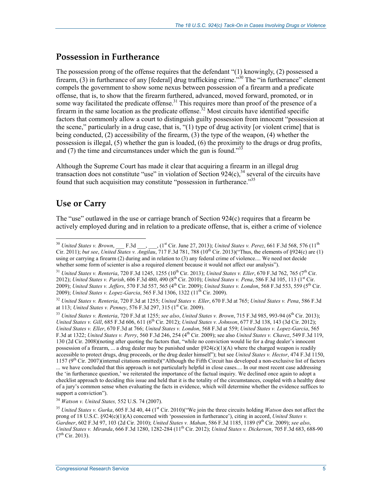### **Possession in Furtherance**

The possession prong of the offense requires that the defendant "(1) knowingly, (2) possessed a firearm, (3) in furtherance of any [federal] drug trafficking crime.<sup>330</sup> The "in furtherance" element compels the government to show some nexus between possession of a firearm and a predicate offense, that is, to show that the firearm furthered, advanced, moved forward, promoted, or in some way facilitated the predicate offense.<sup>31</sup> This requires more than proof of the presence of a firearm in the same location as the predicate offense.<sup>32</sup> Most circuits have identified specific factors that commonly allow a court to distinguish guilty possession from innocent "possession at the scene," particularly in a drug case, that is, "(1) type of drug activity [or violent crime] that is being conducted, (2) accessibility of the firearm, (3) the type of the weapon, (4) whether the possession is illegal, (5) whether the gun is loaded, (6) the proximity to the drugs or drug profits, and (7) the time and circumstances under which the gun is found."<sup>33</sup>

Although the Supreme Court has made it clear that acquiring a firearm in an illegal drug transaction does not constitute "use" in violation of Section  $924(c)$ ,<sup>34</sup> several of the circuits have found that such acquisition may constitute "possession in furtherance."35

## **Use or Carry**

1

The "use" outlawed in the use or carriage branch of Section 924(c) requires that a firearm be actively employed during and in relation to a predicate offense, that is, either a crime of violence

<sup>31</sup> *United States v. Renteria*, 720 F.3d 1245, 1255 (10th Cir. 2013); *United States v. Eller*, 670 F.3d 762, 765 (7th Cir. 2012); *United States v. Parish,* 606 F.3d 480, 490 (8<sup>th</sup> Cir. 2010); *United States v. Pena*, 586 F.3d 105, 113 (1<sup>st</sup> Cir. 2009); *United States v. Jeffers*, 570 F.3d 557, 565 (4th Cir. 2009); *United States v. London*, 568 F.3d 553, 559 (5th Cir. 2009); *United States v. Lopez-Garcia*, 565 F.3d 1306, 1322 (11th Cir. 2009).

<sup>34</sup> *Watson v. United States,* 552 U.S. 74 (2007).

<sup>&</sup>lt;sup>30</sup> *United States v. Brown*, F.3d  $\qquad$ ,  $(1^{st}$  Cir. June 27, 2013); *United States v. Perez*, 661 F.3d 568, 576  $(11^{th}$ Cir. 2011); *but see*, *United States v. Angilau*, 717 F.3d 781, 788 (10th Cir. 2013)("Thus, the elements of §924(c) are (1) using or carrying a firearm (2) during and in relation to (3) any federal crime of violence.... We need not decide whether some form of scienter is also a required element because it would not affect our analysis").

<sup>32</sup> *United States v. Renteria*, 720 F.3d at 1255; *United States v. Eller*, 670 F.3d at 765; *United States v. Pena*, 586 F.3d at 113; *United States v. Penney*, 576 F.3d 297, 315 (1<sup>st</sup> Cir. 2009).

<sup>&</sup>lt;sup>33</sup> *United States v. Renteria, 720 F.3d at 1255; see also, United States v. Brown, 715 F.3d 985, 993-94 (6<sup>th</sup> Cir. 2013); United States v. Gill*, 685 F.3d 606, 611 (6th Cir. 2012); *United States v. Johnson*, 677 F.3d 138, 143 (3d Cir. 2012); *United States v. Eller*, 670 F.3d at 766; *United States v. London*, 568 F.3d at 559; *United States v. Lopez-Garcia*, 565 F.3d at 1322; *United States v. Perry*, 560 F.3d 246, 254 (4th Cir. 2009); see also *United States v. Chavez*, 549 F.3d 119, 130 (2d Cir. 2008)(noting after quoting the factors that, "while no conviction would lie for a drug dealer's innocent possession of a firearm, ... a drug dealer may be punished under  $\S 924(c)(1)(A)$  where the charged weapon is readily accessible to protect drugs, drug proceeds, or the drug dealer himself"); but see *United States v. Hector*, 474 F.3d 1150,  $1157$  ( $9<sup>th</sup>$  Cir. 2007)(internal citations omitted)("Although the Fifth Circuit has developed a non-exclusive list of factors ... we have concluded that this approach is not particularly helpful in close cases.... In our most recent case addressing the 'in furtherance question,' we reiterated the importance of the factual inquiry. We declined once again to adopt a checklist approach to deciding this issue and held that it is the totality of the circumstances, coupled with a healthy dose of a jury's common sense when evaluating the facts in evidence, which will determine whether the evidence suffices to support a conviction").

<sup>&</sup>lt;sup>35</sup> United States v. Gurka, 605 F.3d 40, 44 (1<sup>st</sup> Cir. 2010)("We join the three circuits holding *Watson* does not affect the prong of 18 U.S.C. §924(c)(1)(A) concerned with 'possession in furtherance'), citing in accord, *United States v. Gardner*, 602 F.3d 97, 103 (2d Cir. 2010); *United States v. Mahan*, 586 F.3d 1185, 1189 (9th Cir. 2009); *see also*, *United States v. Miranda*, 666 F.3d 1280, 1282-284 (11th Cir. 2012); *United States v. Dickerson*, 705 F.3d 683, 688-90  $(7^{th}$  Cir. 2013).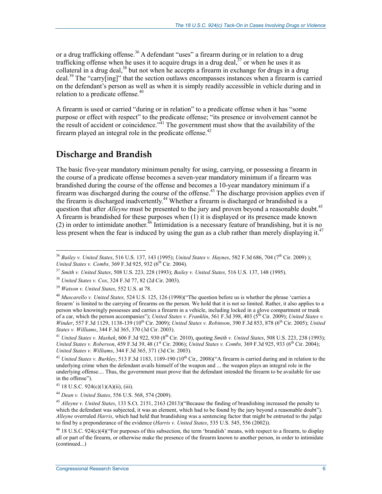or a drug trafficking offense.<sup>36</sup> A defendant "uses" a firearm during or in relation to a drug trafficking offense when he uses it to acquire drugs in a drug deal,  $37$  or when he uses it as collateral in a drug deal,  $38$  but not when he accepts a firearm in exchange for drugs in a drug deal.<sup>39</sup> The "carry[ing]" that the section outlaws encompasses instances when a firearm is carried on the defendant's person as well as when it is simply readily accessible in vehicle during and in relation to a predicate offense.<sup>40</sup>

A firearm is used or carried "during or in relation" to a predicate offense when it has "some purpose or effect with respect" to the predicate offense; "its presence or involvement cannot be the result of accident or coincidence.<sup> $\dot{A}$ 1</sup> The government must show that the availability of the firearm played an integral role in the predicate offense.<sup>42</sup>

## **Discharge and Brandish**

The basic five-year mandatory minimum penalty for using, carrying, or possessing a firearm in the course of a predicate offense becomes a seven-year mandatory minimum if a firearm was brandished during the course of the offense and becomes a 10-year mandatory minimum if a firearm was discharged during the course of the offense.<sup>43</sup> The discharge provision applies even if the firearm is discharged inadvertently.44 Whether a firearm is discharged or brandished is a question that after *Alleyne* must be presented to the jury and proven beyond a reasonable doubt.<sup>45</sup> A firearm is brandished for these purposes when (1) it is displayed or its presence made known (2) in order to intimidate another.<sup>46</sup> Intimidation is a necessary feature of brandishing, but it is no less present when the fear is induced by using the gun as a club rather than merely displaying it.<sup>47</sup>

<sup>41</sup> *United States v. Mashek*, 606 F.3d 922, 930 (8th Cir. 2010), quoting *Smith v. United States*, 508 U.S. 223, 238 (1993); *United States v. Roberson*, 459 F.3d 39, 48 (1<sup>st</sup> Cir. 2006); *United States v. Combs,* 369 F.3d 925, 933 (6<sup>th</sup> Cir. 2004); *United States v. Williams*, 344 F.3d 365, 371 (3d Cir. 2003).

 $42$  *United States v. Burkley*, 513 F.3d 1183, 1189-190 ( $10^{th}$  Cir, 2008)("A firearm is carried during and in relation to the underlying crime when the defendant avails himself of the weapon and ... the weapon plays an integral role in the underlying offense.... Thus, the government must prove that the defendant intended the firearm to be available for use in the offense").

<sup>1</sup> <sup>36</sup> *Bailey v. United States*, 516 U.S. 137, 143 (1995); *United States v. Haynes*, 582 F.3d 686, 704 (7th Cir. 2009) ); *United States v. Combs,* 369 F.3d 925, 932 (6<sup>th</sup> Cir. 2004).

<sup>37</sup> *Smith v. United States*, 508 U.S. 223, 228 (1993); *Bailey v. United States,* 516 U.S. 137, 148 (1995).

<sup>38</sup> *United States v. Cox*, 324 F.3d 77, 82 (2d Cir. 2003).

<sup>39</sup> *Watson v. United States*, 552 U.S. at 78.

<sup>40</sup> *Muscarello v. United States,* 524 U.S. 125, 126 (1998)("The question before us is whether the phrase 'carries a firearm' is limited to the carrying of firearms on the person. We hold that it is not so limited. Rather, it also applies to a person who knowingly possesses and carries a firearm in a vehicle, including locked in a glove compartment or trunk of a car, which the person accompanies"); *United States v. Franklin*, 561 F.3d 398, 403 (5th Cir. 2009); *United States v. Winder*, 557 F.3d 1129, 1138-139 (10<sup>th</sup> Cir. 2009); *United States v. Robinson*, 390 F.3d 853, 878 (6<sup>th</sup> Cir. 2005); *United States v. Williams*, 344 F.3d 365, 370 (3d Cir. 2003).

 $43$  18 U.S.C. 924(c)(1)(A)(ii), (iii).

<sup>44</sup> *Dean v. United States*, 556 U.S. 568, 574 (2009).

<sup>45</sup> *Alleyne v. United States*, 133 S.Ct. 2151, 2163 (2013)("Because the finding of brandishing increased the penalty to which the defendant was subjected, it was an element, which had to be found by the jury beyond a reasonable doubt"). *Alleyne* overruled *Harris*, which had held that brandishing was a sentencing factor that might be entrusted to the judge to find by a preponderance of the evidence (*Harris v. United States*, 535 U.S. 545, 556 (2002)).

 $^{46}$  18 U.S.C. 924(c)(4)("For purposes of this subsection, the term 'brandish' means, with respect to a firearm, to display all or part of the firearm, or otherwise make the presence of the firearm known to another person, in order to intimidate (continued...)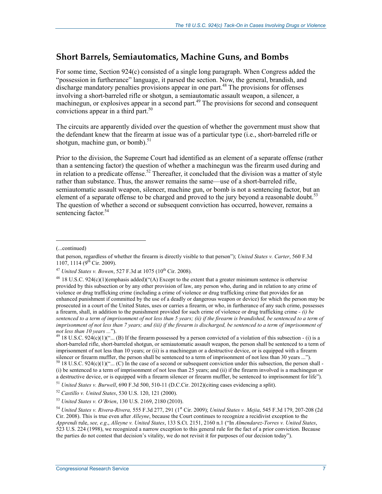## **Short Barrels, Semiautomatics, Machine Guns, and Bombs**

For some time, Section 924(c) consisted of a single long paragraph. When Congress added the "possession in furtherance" language, it parsed the section. Now, the general, brandish, and discharge mandatory penalties provisions appear in one part.<sup>48</sup> The provisions for offenses involving a short-barreled rifle or shotgun, a semiautomatic assault weapon, a silencer, a machinegun, or explosives appear in a second part.<sup>49</sup> The provisions for second and consequent convictions appear in a third part. $50$ 

The circuits are apparently divided over the question of whether the government must show that the defendant knew that the firearm at issue was of a particular type (i.e., short-barreled rifle or shotgun, machine gun, or bomb). $51$ 

Prior to the division, the Supreme Court had identified as an element of a separate offense (rather than a sentencing factor) the question of whether a machinegun was the firearm used during and in relation to a predicate offense.<sup>52</sup> Thereafter, it concluded that the division was a matter of style rather than substance. Thus, the answer remains the same—use of a short-barreled rifle, semiautomatic assault weapon, silencer, machine gun, or bomb is not a sentencing factor, but an element of a separate offense to be charged and proved to the jury beyond a reasonable doubt.<sup>53</sup> The question of whether a second or subsequent conviction has occurred, however, remains a sentencing factor.<sup>54</sup>

<sup>(...</sup>continued)

that person, regardless of whether the firearm is directly visible to that person"); *United States v. Carter*, 560 F.3d  $1107, 1114$  (9<sup>th</sup> Cir. 2009).

<sup>&</sup>lt;sup>47</sup> *United States v. Bowen*, 527 F.3d at 1075 (10<sup>th</sup> Cir. 2008).

<sup>&</sup>lt;sup>48</sup> 18 U.S.C. 924(c)(1)(emphasis added)("(A) Except to the extent that a greater minimum sentence is otherwise provided by this subsection or by any other provision of law, any person who, during and in relation to any crime of violence or drug trafficking crime (including a crime of violence or drug trafficking crime that provides for an enhanced punishment if committed by the use of a deadly or dangerous weapon or device) for which the person may be prosecuted in a court of the United States, uses or carries a firearm, or who, in furtherance of any such crime, possesses a firearm, shall, in addition to the punishment provided for such crime of violence or drug trafficking crime *- (i) be sentenced to a term of imprisonment of not less than 5 years; (ii) if the firearm is brandished, be sentenced to a term of imprisonment of not less than 7 years; and (iii) if the firearm is discharged, be sentenced to a term of imprisonment of not less than 10 years ...*").  $^{49}$  18 U.S.C. 924(c)(1)("... (B) If the firearm possessed by a person convicted of a violation of this subsection - (i) is a

short-barreled rifle, short-barreled shotgun, or semiautomatic assault weapon, the person shall be sentenced to a term of imprisonment of not less than 10 years; or (ii) is a machinegun or a destructive device, or is equipped with a firearm silencer or firearm muffler, the person shall be sentenced to a term of imprisonment of not less than 30 years ...").  $50$  18 U.S.C. 924(c)(1)("... (C) In the case of a second or subsequent conviction under this subsection, the person shall -

<sup>(</sup>i) be sentenced to a term of imprisonment of not less than 25 years; and (ii) if the firearm involved is a machinegun or a destructive device, or is equipped with a firearm silencer or firearm muffler, be sentenced to imprisonment for life").

<sup>51</sup> *United States v. Burwell*, 690 F.3d 500, 510-11 (D.C.Cir. 2012)(citing cases evidencing a split).

<sup>52</sup> *Castillo v. United States*, 530 U.S. 120, 121 (2000).

<sup>53</sup> *United States v. O'Brien*, 130 U.S. 2169, 2180 (2010).

<sup>54</sup> *United States v. Rivera-Rivera,* 555 F.3d 277, 291 (1st Cir. 2009); *United States v. Mejia*, 545 F.3d 179, 207-208 (2d Cir. 2008). This is true even after *Alleyne*, because the Court continues to recognize a recidivist exception to the *Apprendi* rule, *see, e.g*., *Alleyne v. United States*, 133 S.Ct. 2151, 2160 n.1 ("In *Almendarez-Torres v. United States*, 523 U.S. 224 (1998), we recognized a narrow exception to this general rule for the fact of a prior conviction. Because the parties do not contest that decision's vitality, we do not revisit it for purposes of our decision today").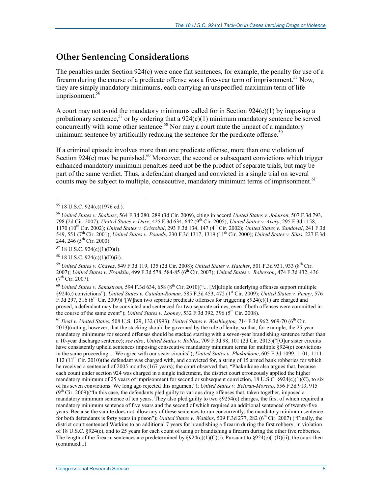## **Other Sentencing Considerations**

The penalties under Section 924(c) were once flat sentences, for example, the penalty for use of a firearm during the course of a predicate offense was a five-year term of imprisonment.<sup>55</sup> Now, they are simply mandatory minimums, each carrying an unspecified maximum term of life imprisonment.<sup>56</sup>

A court may not avoid the mandatory minimums called for in Section 924(c)(1) by imposing a probationary sentence,<sup>57</sup> or by ordering that a  $924(c)(1)$  minimum mandatory sentence be served concurrently with some other sentence.<sup>58</sup> Nor may a court mute the impact of a mandatory minimum sentence by artificially reducing the sentence for the predicate offense.<sup>59</sup>

If a criminal episode involves more than one predicate offense, more than one violation of Section 924(c) may be punished.<sup>60</sup> Moreover, the second or subsequent convictions which trigger enhanced mandatory minimum penalties need not be the product of separate trials, but may be part of the same verdict. Thus, a defendant charged and convicted in a single trial on several counts may be subject to multiple, consecutive, mandatory minimum terms of imprisonment.<sup>61</sup>

<sup>60</sup> *United States v. Sandstrom*, 594 F.3d 634, 658 (8<sup>th</sup> Cir. 2010)("... [M]ultiple underlying offenses support multiple §924(c) convictions"); *United States v. Catalan-Roman*, 585 F.3d 453, 472 (1st Cir. 2009); *United States v. Penny*, 576 F.3d 297, 316 (6<sup>th</sup> Cir. 2009)("[W]hen two separate predicate offenses for triggering §924(c)(1) are charged and proved, a defendant may be convicted and sentenced for two separate crimes, even if both offenses were committed in the course of the same event"); *United States v. Looney*, 532 F.3d 392, 396 ( $5<sup>th</sup>$  Cir. 2008).

<sup>61</sup> *Deal v. United States*, 508 U.S. 129, 132 (1993); *United States v. Washington,* 714 F.3d 962, 969-70 (6th Cir. 2013)(noting, however, that the stacking should be governed by the rule of lenity, so that, for example, the 25-year mandatory minimums for second offenses should be stacked starting with a seven-year brandishing sentence rather than a 10-year discharge sentence); *see also*, *United States v. Robles*, 709 F.3d 98, 101 (2d Cir. 2013)("[O]ur sister circuits have consistently upheld sentences imposing consecutive mandatory minimum terms for multiple §924(c) convictions in the same proceeding.... We agree with our sister circuits"); *United States v. Phaknikone*, 605 F.3d 1099, 1101, 1111- 112 ( $11<sup>th</sup>$  Cir. 2010)(the defendant was charged with, and convicted for, a string of 15 armed bank robberies for which he received a sentenced of 2005 months (167 years); the court observed that, "Phaknikone also argues that, because each count under section 924 was charged in a single indictment, the district court erroneously applied the higher mandatory minimum of 25 years of imprisonment for second or subsequent conviction, 18 U.S.C. §924(c)(1)(C), to six of his seven convictions. We long ago rejected this argument"); *United States v. Beltran-Moreno*, 556 F.3d 913, 915  $(9<sup>th</sup> Cir. 2009)'$  ("In this case, the defendants pled guilty to various drug offenses that, taken together, imposed a mandatory minimum sentence of ten years. They also pled guilty to two §9254(c) charges, the first of which required a mandatory minimum sentence of five years and the second of which required an additional sentenced of twenty-five years. Because the statute does not allow any of these sentences to run concurrently, the mandatory minimum sentence for both defendants is forty years in prison"); *United States v. Watkins*, 509 F.3d 277, 282 (6<sup>th</sup> Cir. 2007) ("Finally, the district court sentenced Watkins to an additional 7 years for brandishing a firearm during the first robbery, in violation of 18 U.S.C. §924(c), and to 25 years for each count of using or brandishing a firearm during the other five robberies. The length of the firearm sentences are predetermined by  $\frac{8924(c)(1)(C)(i)}{i}$ . Pursuant to  $\frac{8924(c)(1(D)(ii)}{i}$ , the court then (continued...)

<sup>1</sup> 55 18 U.S.C. 924(c)(1976 ed.).

<sup>56</sup> *United States v. Shabazz*, 564 F.3d 280, 289 (3d Cir. 2009), citing in accord *United States v. Johnson*, 507 F.3d 793, 798 (2d Cir. 2007); *United States v. Dare*, 425 F.3d 634, 642 (9th Cir. 2005); *United States v. Avery*, 295 F.3d 1158, 1170 (10th Cir. 2002); *United States v. Cristobal*, 293 F.3d 134, 147 (4th Cir. 2002); *United States v. Sandoval*, 241 F.3d 549, 551 (7th Cir. 2001); *United States v. Pounds*, 230 F.3d 1317, 1319 (11th Cir. 2000); *United States v. Silas*, 227 F.3d 244, 246 (5th Cir. 2000).

 $57$  18 U.S.C. 924(c)(1)(D)(i).

<sup>58 18</sup> U.S.C. 924(c)(1)(D)(ii).

<sup>59</sup> *United States v. Chavez*, 549 F.3d 119, 135 (2d Cir. 2008); *United States v. Hatcher*, 501 F.3d 931, 933 (8th Cir. 2007); *United States v. Franklin*, 499 F.3d 578, 584-85 (6th Cir. 2007); *United States v. Roberson*, 474 F.3d 432, 436  $(7^{th}$  Cir. 2007).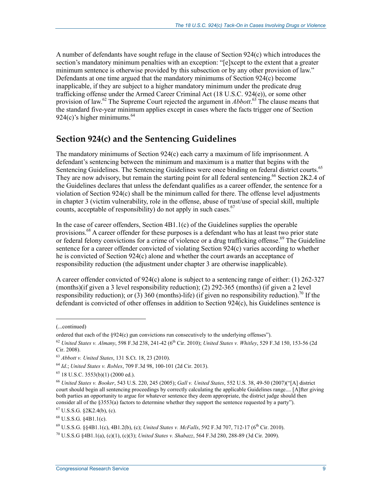A number of defendants have sought refuge in the clause of Section 924(c) which introduces the section's mandatory minimum penalties with an exception: "[e]xcept to the extent that a greater minimum sentence is otherwise provided by this subsection or by any other provision of law." Defendants at one time argued that the mandatory minimums of Section 924(c) become inapplicable, if they are subject to a higher mandatory minimum under the predicate drug trafficking offense under the Armed Career Criminal Act (18 U.S.C. 924(e)), or some other provision of law.62 The Supreme Court rejected the argument in *Abbott*. 63 The clause means that the standard five-year minimum applies except in cases where the facts trigger one of Section 924(c)'s higher minimums.  $64$ 

## **Section 924(c) and the Sentencing Guidelines**

The mandatory minimums of Section 924(c) each carry a maximum of life imprisonment. A defendant's sentencing between the minimum and maximum is a matter that begins with the Sentencing Guidelines. The Sentencing Guidelines were once binding on federal district courts.<sup>65</sup> They are now advisory, but remain the starting point for all federal sentencing.<sup>66</sup> Section 2K2.4 of the Guidelines declares that unless the defendant qualifies as a career offender, the sentence for a violation of Section 924(c) shall be the minimum called for there. The offense level adjustments in chapter 3 (victim vulnerability, role in the offense, abuse of trust/use of special skill, multiple counts, acceptable of responsibility) do not apply in such cases.  $67$ 

In the case of career offenders, Section 4B1.1(c) of the Guidelines supplies the operable provisions.<sup>68</sup> A career offender for these purposes is a defendant who has at least two prior state or federal felony convictions for a crime of violence or a drug trafficking offense.<sup>69</sup> The Guideline sentence for a career offender convicted of violating Section 924(c) varies according to whether he is convicted of Section 924(c) alone and whether the court awards an acceptance of responsibility reduction (the adjustment under chapter 3 are otherwise inapplicable).

A career offender convicted of 924(c) alone is subject to a sentencing range of either: (1) 262-327 (months)(if given a 3 level responsibility reduction); (2) 292-365 (months) (if given a 2 level responsibility reduction); or (3) 360 (months)-life) (if given no responsibility reduction).<sup>70</sup> If the defendant is convicted of other offenses in addition to Section  $924(c)$ , his Guidelines sentence is

<sup>(...</sup>continued)

ordered that each of the §924(c) gun convictions run consecutively to the underlying offenses").

<sup>62</sup> *United States v. Almany*, 598 F.3d 238, 241-42 (6th Cir. 2010); *United States v. Whitley*, 529 F.3d 150, 153-56 (2d Cir. 2008).

<sup>63</sup> *Abbott v. United States*, 131 S.Ct. 18, 23 (2010).

<sup>64</sup> *Id*.; *United States v. Robles*, 709 F.3d 98, 100-101 (2d Cir. 2013).

 $65$  18 U.S.C. 3553(b)(1) (2000 ed.).

<sup>66</sup> *United States v. Booker*, 543 U.S. 220, 245 (2005); *Gall v. United States*, 552 U.S. 38, 49-50 (2007)("[A] district court should begin all sentencing proceedings by correctly calculating the applicable Guidelines range.... [A]fter giving both parties an opportunity to argue for whatever sentence they deem appropriate, the district judge should then consider all of the §3553(a) factors to determine whether they support the sentence requested by a party").

 $67$  U.S.S.G. §2K2.4(b), (c).

<sup>68</sup> U.S.S.G. §4B1.1(c).

<sup>&</sup>lt;sup>69</sup> U.S.S.G. §§4B1.1(c), 4B1.2(b), (c); *United States v. McFalls*, 592 F.3d 707, 712-17 (6<sup>th</sup> Cir. 2010).

<sup>70</sup> U.S.S.G §4B1.1(a), (c)(1), (c)(3); *United States v. Shabazz*, 564 F.3d 280, 288-89 (3d Cir. 2009).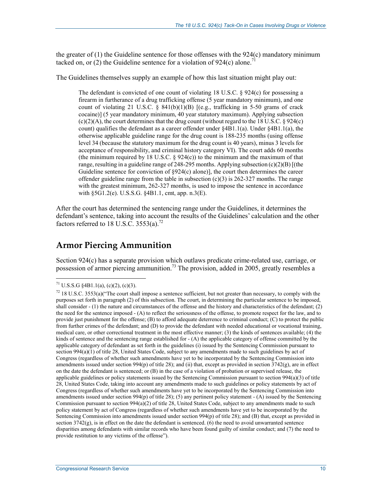the greater of (1) the Guideline sentence for those offenses with the 924(c) mandatory minimum tacked on, or  $(2)$  the Guideline sentence for a violation of 924(c) alone.<sup>7</sup>

The Guidelines themselves supply an example of how this last situation might play out:

The defendant is convicted of one count of violating 18 U.S.C. § 924(c) for possessing a firearm in furtherance of a drug trafficking offense (5 year mandatory minimum), and one count of violating 21 U.S.C.  $\frac{841(b)(1)(B)}{16}$  [(e.g., trafficking in 5-50 grams of crack cocaine)] (5 year mandatory minimum, 40 year statutory maximum). Applying subsection  $(c)(2)(A)$ , the court determines that the drug count (without regard to the 18 U.S.C. § 924(c) count) qualifies the defendant as a career offender under §4B1.1(a). Under §4B1.1(a), the otherwise applicable guideline range for the drug count is 188-235 months (using offense level 34 (because the statutory maximum for the drug count is 40 years), minus 3 levels for acceptance of responsibility, and criminal history category VI). The court adds 60 months (the minimum required by 18 U.S.C.  $\S$  924(c)) to the minimum and the maximum of that range, resulting in a guideline range of 248-295 months. Applying subsection  $(c)(2)(B)$  [(the Guideline sentence for conviction of §924(c) alone)], the court then determines the career offender guideline range from the table in subsection  $(c)(3)$  is 262-327 months. The range with the greatest minimum, 262-327 months, is used to impose the sentence in accordance with §5G1.2(e). U.S.S.G. §4B1.1, cmt, app. n.3(E).

After the court has determined the sentencing range under the Guidelines, it determines the defendant's sentence, taking into account the results of the Guidelines' calculation and the other factors referred to 18 U.S.C.  $3553(a)^{72}$ 

## **Armor Piercing Ammunition**

Section 924(c) has a separate provision which outlaws predicate crime-related use, carriage, or possession of armor piercing ammunition.<sup>73</sup> The provision, added in 2005, greatly resembles a

<sup>&</sup>lt;sup>71</sup> U.S.S.G §4B1.1(a), (c)(2), (c)(3).

 $72$  18 U.S.C. 3553(a)("The court shall impose a sentence sufficient, but not greater than necessary, to comply with the purposes set forth in paragraph (2) of this subsection. The court, in determining the particular sentence to be imposed, shall consider - (1) the nature and circumstances of the offense and the history and characteristics of the defendant; (2) the need for the sentence imposed - (A) to reflect the seriousness of the offense, to promote respect for the law, and to provide just punishment for the offense; (B) to afford adequate deterrence to criminal conduct; (C) to protect the public from further crimes of the defendant; and (D) to provide the defendant with needed educational or vocational training, medical care, or other correctional treatment in the most effective manner; (3) the kinds of sentences available; (4) the kinds of sentence and the sentencing range established for - (A) the applicable category of offense committed by the applicable category of defendant as set forth in the guidelines (i) issued by the Sentencing Commission pursuant to section 994(a)(1) of title 28, United States Code, subject to any amendments made to such guidelines by act of Congress (regardless of whether such amendments have yet to be incorporated by the Sentencing Commission into amendments issued under section 994(p) of title 28); and (ii) that, except as provided in section  $3742(g)$ , are in effect on the date the defendant is sentenced; or (B) in the case of a violation of probation or supervised release, the applicable guidelines or policy statements issued by the Sentencing Commission pursuant to section 994(a)(3) of title 28, United States Code, taking into account any amendments made to such guidelines or policy statements by act of Congress (regardless of whether such amendments have yet to be incorporated by the Sentencing Commission into amendments issued under section  $994(p)$  of title 28); (5) any pertinent policy statement  $-(A)$  issued by the Sentencing Commission pursuant to section 994(a)(2) of title 28, United States Code, subject to any amendments made to such policy statement by act of Congress (regardless of whether such amendments have yet to be incorporated by the Sentencing Commission into amendments issued under section 994(p) of title 28); and (B) that, except as provided in section  $3742(g)$ , is in effect on the date the defendant is sentenced. (6) the need to avoid unwarranted sentence disparities among defendants with similar records who have been found guilty of similar conduct; and (7) the need to provide restitution to any victims of the offense").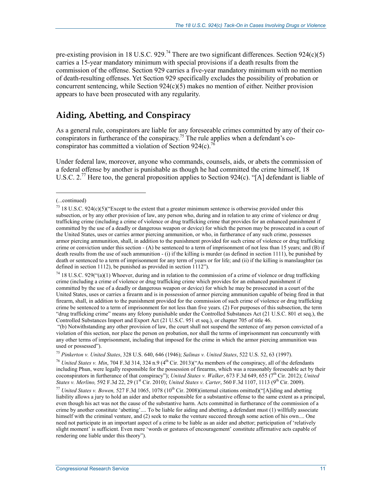pre-existing provision in 18 U.S.C. 929.<sup>74</sup> There are two significant differences. Section 924(c)(5) carries a 15-year mandatory minimum with special provisions if a death results from the commission of the offense. Section 929 carries a five-year mandatory minimum with no mention of death-resulting offenses. Yet Section 929 specifically excludes the possibility of probation or concurrent sentencing, while Section  $924(c)(5)$  makes no mention of either. Neither provision appears to have been prosecuted with any regularity.

## **Aiding, Abetting, and Conspiracy**

As a general rule, conspirators are liable for any foreseeable crimes committed by any of their coconspirators in furtherance of the conspiracy.<sup>75</sup> The rule applies when a defendant's coconspirator has committed a violation of Section 924(c).<sup>76</sup>

Under federal law, moreover, anyone who commands, counsels, aids, or abets the commission of a federal offense by another is punishable as though he had committed the crime himself, 18 U.S.C. 2.<sup>77</sup> Here too, the general proposition applies to Section 924(c). "[A] defendant is liable of

 $\overline{a}$ 

 "(b) Notwithstanding any other provision of law, the court shall not suspend the sentence of any person convicted of a violation of this section, nor place the person on probation, nor shall the terms of imprisonment run concurrently with any other terms of imprisonment, including that imposed for the crime in which the armor piercing ammunition was used or possessed").

<sup>75</sup> *Pinkerton v. United States*, 328 U.S. 640, 646 (1946); *Salinas v. United States*, 522 U.S. 52, 63 (1997).

<sup>76</sup> *United States v. Min*, 704 F.3d 314, 324 n.9 (4<sup>th</sup> Cir. 2013)("As members of the conspiracy, all of the defendants including Phun, were legally responsible for the possession of firearms, which was a reasonably foreseeable act by their coconspirators in furtherance of that conspiracy"); *United States v. Walker*, 673 F.3d 649, 655 (7th Cir. 2012); *United States v. Merlino,* 592 F.3d 22, 29 (1<sup>st</sup> Cir. 2010); *United States v. Carter*, 560 F.3d 1107, 1113 (9<sup>th</sup> Cir. 2009).

<sup>77</sup> *United States v. Bowen,* 527 F.3d 1065, 1078 (10<sup>th</sup> Cir. 2008)(internal citations omitted)("[A]iding and abetting liability allows a jury to hold an aider and abettor responsible for a substantive offense to the same extent as a principal, even though his act was not the cause of the substantive harm. Acts committed in furtherance of the commission of a crime by another constitute 'abetting'.... To be liable for aiding and abetting, a defendant must (1) willfully associate himself with the criminal venture, and (2) seek to make the venture succeed through some action of his own.... One need not participate in an important aspect of a crime to be liable as an aider and abettor; participation of 'relatively slight moment' is sufficient. Even mere 'words or gestures of encouragement' constitute affirmative acts capable of rendering one liable under this theory").

<sup>(...</sup>continued)

 $73$  18 U.S.C. 924(c)(5)("Except to the extent that a greater minimum sentence is otherwise provided under this subsection, or by any other provision of law, any person who, during and in relation to any crime of violence or drug trafficking crime (including a crime of violence or drug trafficking crime that provides for an enhanced punishment if committed by the use of a deadly or dangerous weapon or device) for which the person may be prosecuted in a court of the United States, uses or carries armor piercing ammunition, or who, in furtherance of any such crime, possesses armor piercing ammunition, shall, in addition to the punishment provided for such crime of violence or drug trafficking crime or conviction under this section - (A) be sentenced to a term of imprisonment of not less than 15 years; and (B) if death results from the use of such ammunition - (i) if the killing is murder (as defined in section 1111), be punished by death or sentenced to a term of imprisonment for any term of years or for life; and (ii) if the killing is manslaughter (as defined in section 1112), be punished as provided in section 1112").

 $74$  18 U.S.C. 929("(a)(1) Whoever, during and in relation to the commission of a crime of violence or drug trafficking crime (including a crime of violence or drug trafficking crime which provides for an enhanced punishment if committed by the use of a deadly or dangerous weapon or device) for which he may be prosecuted in a court of the United States, uses or carries a firearm and is in possession of armor piercing ammunition capable of being fired in that firearm, shall, in addition to the punishment provided for the commission of such crime of violence or drug trafficking crime be sentenced to a term of imprisonment for not less than five years. (2) For purposes of this subsection, the term "drug trafficking crime" means any felony punishable under the Controlled Substances Act (21 U.S.C. 801 et seq.), the Controlled Substances Import and Export Act (21 U.S.C. 951 et seq.), or chapter 705 of title 46.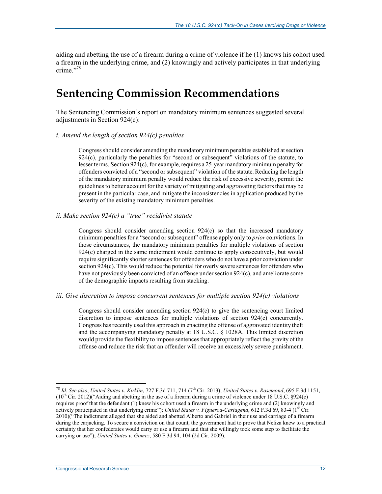aiding and abetting the use of a firearm during a crime of violence if he (1) knows his cohort used a firearm in the underlying crime, and (2) knowingly and actively participates in that underlying crime<sup>"78</sup>

## **Sentencing Commission Recommendations**

The Sentencing Commission's report on mandatory minimum sentences suggested several adjustments in Section 924(c):

#### *i. Amend the length of section 924(c) penalties*

Congress should consider amending the mandatory minimum penalties established at section 924(c), particularly the penalties for "second or subsequent" violations of the statute, to lesser terms. Section 924(c), for example, requires a 25-year mandatory minimum penalty for offenders convicted of a "second or subsequent" violation of the statute. Reducing the length of the mandatory minimum penalty would reduce the risk of excessive severity, permit the guidelines to better account for the variety of mitigating and aggravating factors that may be present in the particular case, and mitigate the inconsistencies in application produced by the severity of the existing mandatory minimum penalties.

#### *ii. Make section 924(c) a "true" recidivist statute*

Congress should consider amending section 924(c) so that the increased mandatory minimum penalties for a "second or subsequent" offense apply only to *prior* convictions. In those circumstances, the mandatory minimum penalties for multiple violations of section 924(c) charged in the same indictment would continue to apply consecutively, but would require significantly shorter sentences for offenders who do not have a prior conviction under section 924(c). This would reduce the potential for overly severe sentences for offenders who have not previously been convicted of an offense under section 924(c), and ameliorate some of the demographic impacts resulting from stacking.

#### *iii. Give discretion to impose concurrent sentences for multiple section 924(c) violations*

Congress should consider amending section 924(c) to give the sentencing court limited discretion to impose sentences for multiple violations of section 924(c) concurrently. Congress has recently used this approach in enacting the offense of aggravated identity theft and the accompanying mandatory penalty at 18 U.S.C. § 1028A. This limited discretion would provide the flexibility to impose sentences that appropriately reflect the gravity of the offense and reduce the risk that an offender will receive an excessively severe punishment.

<sup>78</sup> *Id. See also*, *United States v. Kirklin*, 727 F.3d 711, 714 (7th Cir. 2013); *United States v. Rosemond*, 695 F.3d 1151,  $(10<sup>th</sup>$  Cir. 2012)("Aiding and abetting in the use of a firearm during a crime of violence under 18 U.S.C. §924(c) requires proof that the defendant (1) knew his cohort used a firearm in the underlying crime and (2) knowingly and actively participated in that underlying crime"); *United States v. Figueroa-Cartagena*, 612 F.3d 69, 83-4 (1<sup>st</sup> Cir. 2010)("The indictment alleged that she aided and abetted Alberto and Gabriel in their use and carriage of a firearm during the carjacking. To secure a conviction on that count, the government had to prove that Neliza knew to a practical certainty that her confederates would carry or use a firearm and that she willingly took some step to facilitate the carrying or use"); *United States v. Gomez*, 580 F.3d 94, 104 (2d Cir. 2009).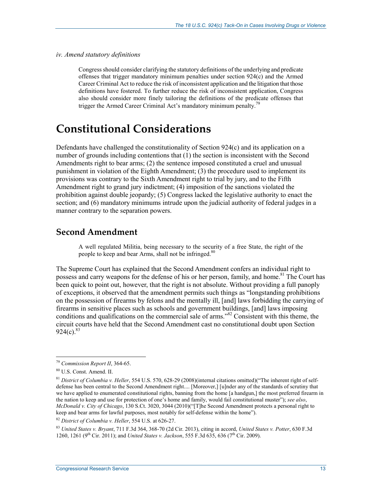#### *iv. Amend statutory definitions*

Congress should consider clarifying the statutory definitions of the underlying and predicate offenses that trigger mandatory minimum penalties under section 924(c) and the Armed Career Criminal Act to reduce the risk of inconsistent application and the litigation that those definitions have fostered. To further reduce the risk of inconsistent application, Congress also should consider more finely tailoring the definitions of the predicate offenses that trigger the Armed Career Criminal Act's mandatory minimum penalty.<sup>79</sup>

## **Constitutional Considerations**

Defendants have challenged the constitutionality of Section 924(c) and its application on a number of grounds including contentions that (1) the section is inconsistent with the Second Amendments right to bear arms; (2) the sentence imposed constituted a cruel and unusual punishment in violation of the Eighth Amendment; (3) the procedure used to implement its provisions was contrary to the Sixth Amendment right to trial by jury, and to the Fifth Amendment right to grand jury indictment; (4) imposition of the sanctions violated the prohibition against double jeopardy; (5) Congress lacked the legislative authority to enact the section; and (6) mandatory minimums intrude upon the judicial authority of federal judges in a manner contrary to the separation powers.

#### **Second Amendment**

A well regulated Militia, being necessary to the security of a free State, the right of the people to keep and bear Arms, shall not be infringed.<sup>80</sup>

The Supreme Court has explained that the Second Amendment confers an individual right to possess and carry weapons for the defense of his or her person, family, and home.<sup>81</sup> The Court has been quick to point out, however, that the right is not absolute. Without providing a full panoply of exceptions, it observed that the amendment permits such things as "longstanding prohibitions on the possession of firearms by felons and the mentally ill, [and] laws forbidding the carrying of firearms in sensitive places such as schools and government buildings, [and] laws imposing conditions and qualifications on the commercial sale of arms."<sup>82</sup> Consistent with this theme, the circuit courts have held that the Second Amendment cast no constitutional doubt upon Section  $924(c).^{83}$ 

<u>.</u>

<sup>83</sup> *United States v. Bryant*, 711 F.3d 364, 368-70 (2d Cir. 2013), citing in accord, *United States v. Potter*, 630 F.3d 1260, 1261 (9<sup>th</sup> Cir. 2011); and *United States v. Jackson*, 555 F.3d 635, 636 (7<sup>th</sup> Cir. 2009).

<sup>79</sup> *Commission Report II*, 364-65.

<sup>80</sup> U.S. Const. Amend. II.

<sup>81</sup> *District of Columbia v. Heller*, 554 U.S. 570, 628-29 (2008)(internal citations omitted)("The inherent right of selfdefense has been central to the Second Amendment right.... [Moreover,] [u]nder any of the standards of scrutiny that we have applied to enumerated constitutional rights, banning from the home [a handgun,] the most preferred firearm in the nation to keep and use for protection of one's home and family, would fail constitutional muster"); *see also*, *McDonald v. City of Chicago*, 130 S.Ct. 3020, 3044 (2010)("[T]he Second Amendment protects a personal right to keep and bear arms for lawful purposes, most notably for self-defense within the home").

<sup>82</sup> *District of Columbia v. Heller*, 554 U.S. at 626-27.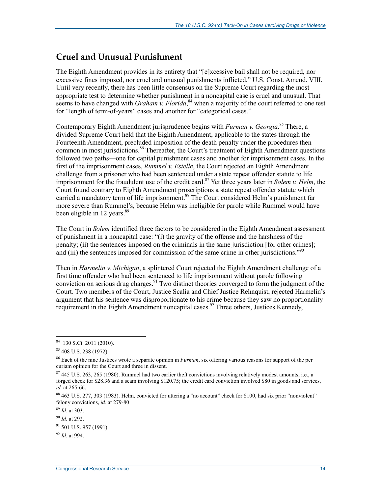## **Cruel and Unusual Punishment**

The Eighth Amendment provides in its entirety that "[e]xcessive bail shall not be required, nor excessive fines imposed, nor cruel and unusual punishments inflicted," U.S. Const. Amend. VIII. Until very recently, there has been little consensus on the Supreme Court regarding the most appropriate test to determine whether punishment in a noncapital case is cruel and unusual. That seems to have changed with *Graham v. Florida*,<sup>84</sup> when a majority of the court referred to one test for "length of term-of-years" cases and another for "categorical cases."

Contemporary Eighth Amendment jurisprudence begins with *Furman v. Georgia*. 85 There, a divided Supreme Court held that the Eighth Amendment, applicable to the states through the Fourteenth Amendment, precluded imposition of the death penalty under the procedures then common in most jurisdictions.<sup>86</sup> Thereafter, the Court's treatment of Eighth Amendment questions followed two paths—one for capital punishment cases and another for imprisonment cases. In the first of the imprisonment cases, *Rummel v. Estelle*, the Court rejected an Eighth Amendment challenge from a prisoner who had been sentenced under a state repeat offender statute to life imprisonment for the fraudulent use of the credit card.<sup>87</sup> Yet three years later in *Solem v. Helm*, the Court found contrary to Eighth Amendment proscriptions a state repeat offender statute which carried a mandatory term of life imprisonment.<sup>88</sup> The Court considered Helm's punishment far more severe than Rummel's, because Helm was ineligible for parole while Rummel would have been eligible in 12 years. $89$ 

The Court in *Solem* identified three factors to be considered in the Eighth Amendment assessment of punishment in a noncapital case: "(i) the gravity of the offense and the harshness of the penalty; (ii) the sentences imposed on the criminals in the same jurisdiction [for other crimes]; and (iii) the sentences imposed for commission of the same crime in other jurisdictions.<sup>"90</sup>

Then in *Harmelin v. Michigan*, a splintered Court rejected the Eighth Amendment challenge of a first time offender who had been sentenced to life imprisonment without parole following conviction on serious drug charges.<sup>91</sup> Two distinct theories converged to form the judgment of the Court. Two members of the Court, Justice Scalia and Chief Justice Rehnquist, rejected Harmelin's argument that his sentence was disproportionate to his crime because they saw no proportionality requirement in the Eighth Amendment noncapital cases.<sup>92</sup> Three others, Justices Kennedy,

<u>.</u>

 $84$  130 S.Ct. 2011 (2010).

<sup>85 408</sup> U.S. 238 (1972).

<sup>86</sup> Each of the nine Justices wrote a separate opinion in *Furman*, six offering various reasons for support of the per curiam opinion for the Court and three in dissent.

 $87,445$  U.S. 263, 265 (1980). Rummel had two earlier theft convictions involving relatively modest amounts, i.e., a forged check for \$28.36 and a scam involving \$120.75; the credit card conviction involved \$80 in goods and services, *id.* at 265-66.

<sup>&</sup>lt;sup>88</sup> 463 U.S. 277, 303 (1983). Helm, convicted for uttering a "no account" check for \$100, had six prior "nonviolent" felony convictions, *id.* at 279-80

<sup>89</sup> *Id.* at 303.

<sup>90</sup> *Id.* at 292.

 $91$  501 U.S. 957 (1991).

<sup>92</sup> *Id*. at 994.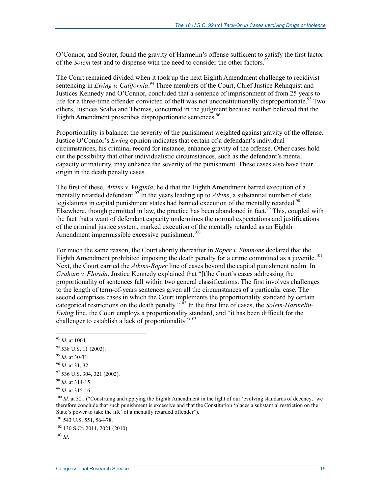O'Connor, and Souter, found the gravity of Harmelin's offense sufficient to satisfy the first factor of the *Solem* test and to dispense with the need to consider the other factors.<sup>93</sup>

The Court remained divided when it took up the next Eighth Amendment challenge to recidivist sentencing in *Ewing v. California*.<sup>94</sup> Three members of the Court, Chief Justice Rehnquist and Justices Kennedy and O'Connor, concluded that a sentence of imprisonment of from 25 years to life for a three-time offender convicted of theft was not unconstitutionally disproportionate.<sup>95</sup> Two others, Justices Scalia and Thomas, concurred in the judgment because neither believed that the Eighth Amendment proscribes disproportionate sentences.<sup>96</sup>

Proportionality is balance: the severity of the punishment weighted against gravity of the offense. Justice O'Connor's *Ewing* opinion indicates that certain of a defendant's individual circumstances, his criminal record for instance, enhance gravity of the offense. Other cases hold out the possibility that other individualistic circumstances, such as the defendant's mental capacity or maturity, may enhance the severity of the punishment. These cases also have their origin in the death penalty cases.

The first of these, *Atkins v. Virginia*, held that the Eighth Amendment barred execution of a mentally retarded defendant.<sup>97</sup> In the years leading up to *Atkins*, a substantial number of state legislatures in capital punishment states had banned execution of the mentally retarded.<sup>98</sup> Elsewhere, though permitted in law, the practice has been abandoned in fact.<sup> $\frac{59}{9}$ </sup> This, coupled with the fact that a want of defendant capacity undermines the normal expectations and justifications of the criminal justice system, marked execution of the mentally retarded as an Eighth Amendment impermissible excessive punishment.<sup>100</sup>

For much the same reason, the Court shortly thereafter in *Roper v. Simmons* declared that the Eighth Amendment prohibited imposing the death penalty for a crime committed as a juvenile.<sup>101</sup> Next, the Court carried the *Atkins-Roper* line of cases beyond the capital punishment realm. In *Graham v. Florida*, Justice Kennedy explained that "[t]he Court's cases addressing the proportionality of sentences fall within two general classifications. The first involves challenges to the length of term-of-years sentences given all the circumstances of a particular case. The second comprises cases in which the Court implements the proportionality standard by certain categorical restrictions on the death penalty."102 In the first line of cases, the *Solem-Harmelin-Ewing* line, the Court employs a proportionality standard, and "it has been difficult for the challenger to establish a lack of proportionality."<sup>103</sup>

1

<sup>95</sup> *Id.* at 30-31.

97 536 U.S. 304, 321 (2002).

<sup>93</sup> *Id*. at 1004.

 $94$  538 U.S. 11 (2003).

<sup>96</sup> *Id.* at 31, 32.

<sup>98</sup> *Id.* at 314-15.

<sup>99</sup> *Id*. at 315-16.

<sup>&</sup>lt;sup>100</sup> *Id.* at 321 ("Construing and applying the Eighth Amendment in the light of our 'evolving standards of decency,' we therefore conclude that such punishment is excessive and that the Constitution 'places a substantial restriction on the State's power to take the life<sup>3</sup> of a mentally retarded offender").

<sup>101 543</sup> U.S. 551, 564-78.

<sup>102 130</sup> S.Ct. 2011, 2021 (2010).

<sup>103</sup> *Id*.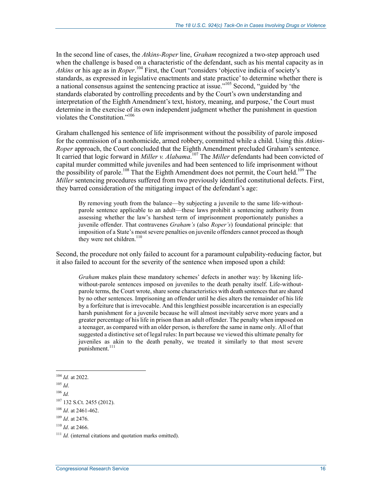In the second line of cases, the *Atkins-Roper* line, *Graham* recognized a two-step approach used when the challenge is based on a characteristic of the defendant, such as his mental capacity as in *Atkins* or his age as in *Roper*. 104 First, the Court "considers 'objective indicia of society's standards, as expressed in legislative enactments and state practice' to determine whether there is a national consensus against the sentencing practice at issue."105 Second, "guided by 'the standards elaborated by controlling precedents and by the Court's own understanding and interpretation of the Eighth Amendment's text, history, meaning, and purpose,' the Court must determine in the exercise of its own independent judgment whether the punishment in question violates the Constitution."106

Graham challenged his sentence of life imprisonment without the possibility of parole imposed for the commission of a nonhomicide, armed robbery, committed while a child. Using this *Atkins-Roper* approach, the Court concluded that the Eighth Amendment precluded Graham's sentence. It carried that logic forward in *Miller v. Alabama*. 107 The *Miller* defendants had been convicted of capital murder committed while juveniles and had been sentenced to life imprisonment without the possibility of parole.<sup>108</sup> That the Eighth Amendment does not permit, the Court held.<sup>109</sup> The *Miller* sentencing procedures suffered from two previously identified constitutional defects. First, they barred consideration of the mitigating impact of the defendant's age:

By removing youth from the balance—by subjecting a juvenile to the same life-withoutparole sentence applicable to an adult—these laws prohibit a sentencing authority from assessing whether the law's harshest term of imprisonment proportionately punishes a juvenile offender. That contravenes *Graham's* (also *Roper's*) foundational principle: that imposition of a State's most severe penalties on juvenile offenders cannot proceed as though they were not children. $110$ 

Second, the procedure not only failed to account for a paramount culpability-reducing factor, but it also failed to account for the severity of the sentence when imposed upon a child:

*Graham* makes plain these mandatory schemes' defects in another way: by likening lifewithout-parole sentences imposed on juveniles to the death penalty itself. Life-withoutparole terms, the Court wrote, share some characteristics with death sentences that are shared by no other sentences. Imprisoning an offender until he dies alters the remainder of his life by a forfeiture that is irrevocable. And this lengthiest possible incarceration is an especially harsh punishment for a juvenile because he will almost inevitably serve more years and a greater percentage of his life in prison than an adult offender. The penalty when imposed on a teenager, as compared with an older person, is therefore the same in name only. All of that suggested a distinctive set of legal rules: In part because we viewed this ultimate penalty for juveniles as akin to the death penalty, we treated it similarly to that most severe punishment.<sup>111</sup>

<sup>104</sup> *Id.* at 2022.

<sup>105</sup> *Id*.

 $106$  *Id.* 

<sup>107 132</sup> S.Ct. 2455 (2012).

<sup>108</sup> *Id*. at 2461-462.

<sup>109</sup> *Id*. at 2476.

<sup>110</sup> *Id*. at 2466.

<sup>&</sup>lt;sup>111</sup> *Id.* (internal citations and quotation marks omitted).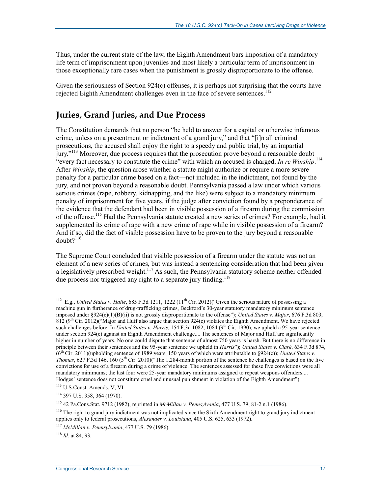Thus, under the current state of the law, the Eighth Amendment bars imposition of a mandatory life term of imprisonment upon juveniles and most likely a particular term of imprisonment in those exceptionally rare cases when the punishment is grossly disproportionate to the offense.

Given the seriousness of Section 924(c) offenses, it is perhaps not surprising that the courts have rejected Eighth Amendment challenges even in the face of severe sentences.<sup>112</sup>

## **Juries, Grand Juries, and Due Process**

The Constitution demands that no person "be held to answer for a capital or otherwise infamous crime, unless on a presentment or indictment of a grand jury," and that "[i]n all criminal prosecutions, the accused shall enjoy the right to a speedy and public trial, by an impartial jury."113 Moreover, due process requires that the prosecution prove beyond a reasonable doubt "every fact necessary to constitute the crime" with which an accused is charged, *In re Winship*. 114 After *Winship*, the question arose whether a statute might authorize or require a more severe penalty for a particular crime based on a fact—not included in the indictment, not found by the jury, and not proven beyond a reasonable doubt. Pennsylvania passed a law under which various serious crimes (rape, robbery, kidnapping, and the like) were subject to a mandatory minimum penalty of imprisonment for five years, if the judge after conviction found by a preponderance of the evidence that the defendant had been in visible possession of a firearm during the commission of the offense.<sup>115</sup> Had the Pennsylvania statute created a new series of crimes? For example, had it supplemented its crime of rape with a new crime of rape while in visible possession of a firearm? And if so, did the fact of visible possession have to be proven to the jury beyond a reasonable  $doubt?$ <sup>116</sup>

The Supreme Court concluded that visible possession of a firearm under the statute was not an element of a new series of crimes, but was instead a sentencing consideration that had been given a legislatively prescribed weight.<sup>117</sup> As such, the Pennsylvania statutory scheme neither offended due process nor triggered any right to a separate jury finding.<sup>118</sup>

<sup>&</sup>lt;sup>112</sup> E.g., *United States v. Haile*, 685 F.3d 1211, 1222 (11<sup>th</sup> Cir. 2012)("Given the serious nature of possessing a machine gun in furtherance of drug-trafficking crimes, Beckford's 30-year statutory mandatory minimum sentence imposed under §924(c)(1)(B)(ii) is not grossly disproportionate to the offense"); *United States v. Major*, 676 F.3d 803, 812 ( $9<sup>th</sup>$  Cir. 2012)("Major and Huff also argue that section 924(c) violates the Eighth Amendment. We have rejected such challenges before. In *United States v. Harris*, 154 F.3d 1082, 1084 (9<sup>th</sup> Cir. 1990), we upheld a 95-year sentence under section 924(c) against an Eighth Amendment challenge.... The sentences of Major and Huff are significantly higher in number of years. No one could dispute that sentence of almost 750 years is harsh. But there is no difference in principle between their sentences and the 95-year sentence we upheld in *Harris*"); *United States v. Clark*, 634 F.3d 874, (6th Cir. 2011)(upholding sentence of 1989 years, 150 years of which were attributable to §924(c)); *United States v. Thomas*, 627 F.3d 146, 160 (5th Cir. 2010)("The 1,284-month portion of the sentence he challenges is based on the five convictions for use of a firearm during a crime of violence. The sentences assessed for these five convictions were all mandatory minimums; the last four were 25-year mandatory minimums assigned to repeat weapons offenders.... Hodges' sentence does not constitute cruel and unusual punishment in violation of the Eighth Amendment").

<sup>113</sup> U.S.Const. Amends. V, VI.

<sup>114 397</sup> U.S. 358, 364 (1970).

<sup>115 42</sup> Pa.Cons.Stat. 9712 (1982), reprinted in *McMillan v. Pennsylvania*, 477 U.S. 79, 81-2 n.1 (1986).

<sup>&</sup>lt;sup>116</sup> The right to grand jury indictment was not implicated since the Sixth Amendment right to grand jury indictment applies only to federal prosecutions, *Alexander v. Louisiana*, 405 U.S. 625, 633 (1972).

<sup>117</sup> *McMillan v. Pennsylvania*, 477 U.S. 79 (1986).

<sup>118</sup> *Id.* at 84, 93.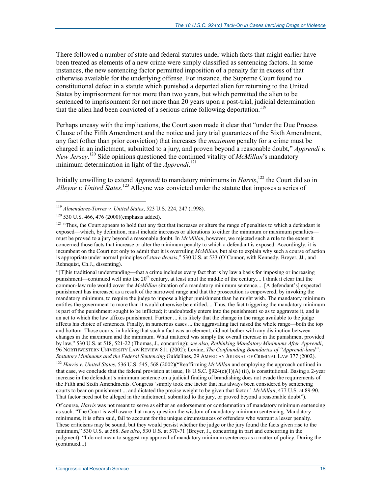There followed a number of state and federal statutes under which facts that might earlier have been treated as elements of a new crime were simply classified as sentencing factors. In some instances, the new sentencing factor permitted imposition of a penalty far in excess of that otherwise available for the underlying offense. For instance, the Supreme Court found no constitutional defect in a statute which punished a deported alien for returning to the United States by imprisonment for not more than two years, but which permitted the alien to be sentenced to imprisonment for not more than 20 years upon a post-trial, judicial determination that the alien had been convicted of a serious crime following deportation.<sup>119</sup>

Perhaps uneasy with the implications, the Court soon made it clear that "under the Due Process Clause of the Fifth Amendment and the notice and jury trial guarantees of the Sixth Amendment, any fact (other than prior conviction) that increases the *maximum* penalty for a crime must be charged in an indictment, submitted to a jury, and proven beyond a reasonable doubt," *Apprendi v. New Jersey*. 120 Side opinions questioned the continued vitality of *McMillan*'s mandatory minimum determination in light of the *Apprendi*. 121

Initially unwilling to extend *Apprendi* to mandatory minimums in *Harris*, 122 the Court did so in *Alleyne v. United States*. 123 Alleyne was convicted under the statute that imposes a series of

1

"[T]his traditional understanding—that a crime includes every fact that is by law a basis for imposing or increasing punishment—continued well into the 20<sup>th</sup> century, at least until the middle of the century.... I think it clear that the common-law rule would cover the *McMillan* situation of a mandatory minimum sentence.... [A defendant's] expected punishment has increased as a result of the narrowed range and that the prosecution is empowered, by invoking the mandatory minimum, to require the judge to impose a higher punishment than he might wish. The mandatory minimum entitles the government to more than it would otherwise be entitled.... Thus, the fact triggering the mandatory minimum is part of the punishment sought to be inflicted; it undoubtedly enters into the punishment so as to aggravate it, and is an act to which the law affixes punishment. Further ... it is likely that the change in the range available to the judge affects his choice of sentences. Finally, in numerous cases ... the aggravating fact raised the whole range—both the top and bottom. Those courts, in holding that such a fact was an element, did not bother with any distinction between changes in the maximum and the minimum. What mattered was simply the overall increase in the punishment provided by law," 530 U.S. at 518, 521-22 (Thomas, J., concurring); *see also, Rethinking Mandatory Minimums After Apprendi*, 96 NORTHWESTERN UNIVERSITY LAW REVIEW 811 (2002); Levine, *The Confounding Boundaries of "Apprendi-land": Statutory Minimums and the Federal Sentencing* Guidelines, 29 AMERICAN JOURNAL OF CRIMINAL LAW 377 (2002).

<sup>122</sup> *Harris v. United States*, 536 U.S. 545, 568 (2002)("Reaffirming *McMillan* and employing the approach outlined in that case, we conclude that the federal provision at issue, 18 U.S.C. §924(c)(1)(A) (ii), is constitutional. Basing a 2-year increase in the defendant's minimum sentence on a judicial finding of brandishing does not evade the requirements of the Fifth and Sixth Amendments. Congress 'simply took one factor that has always been considered by sentencing courts to bear on punishment ... and dictated the precise weight to be given that factor.' *McMillan*, 477 U.S. at 89-90. That factor need not be alleged in the indictment, submitted to the jury, or proved beyond a reasonable doubt").

Of course, *Harris* was not meant to serve as either an endorsement or condemnation of mandatory minimum sentencing as such: "The Court is well aware that many question the wisdom of mandatory minimum sentencing. Mandatory minimums, it is often said, fail to account for the unique circumstances of offenders who warrant a lesser penalty. These criticisms may be sound, but they would persist whether the judge or the jury found the facts given rise to the minimum," 530 U.S. at 568. *See also*, 530 U.S. at 570-71 (Breyer, J., concurring in part and concurring in the judgment): "I do not mean to suggest my approval of mandatory minimum sentences as a matter of policy. During the (continued...)

<sup>119</sup> *Almendarez-Torres v. United States*, 523 U.S. 224, 247 (1998).

<sup>120 530</sup> U.S. 466, 476 (2000)(emphasis added).

<sup>&</sup>lt;sup>121</sup> "Thus, the Court appears to hold that any fact that increases or alters the range of penalties to which a defendant is exposed—which, by definition, must include increases or alterations to either the minimum or maximum penalties must be proved to a jury beyond a reasonable doubt. In *McMillan*, however, we rejected such a rule to the extent it concerned those facts that increase or alter the minimum penalty to which a defendant is exposed. Accordingly, it is incumbent on the Court not only to admit that it is overruling *McMillan*, but also to explain why such a course of action is appropriate under normal principles of *stare decisis*," 530 U.S. at 533 (O'Connor, with Kennedy, Breyer, JJ., and Rehnquist, Ch.J., dissenting).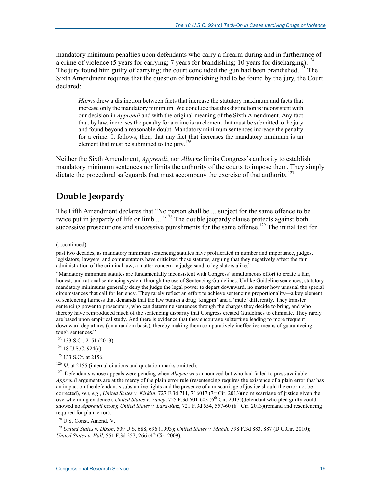mandatory minimum penalties upon defendants who carry a firearm during and in furtherance of a crime of violence (5 years for carrying; 7 years for brandishing; 10 years for discharging).<sup>124</sup> The jury found him guilty of carrying; the court concluded the gun had been brandished.<sup>125</sup> The Sixth Amendment requires that the question of brandishing had to be found by the jury, the Court declared:

*Harris* drew a distinction between facts that increase the statutory maximum and facts that increase only the mandatory minimum. We conclude that this distinction is inconsistent with our decision in *Apprendi* and with the original meaning of the Sixth Amendment. Any fact that, by law, increases the penalty for a crime is an element that must be submitted to the jury and found beyond a reasonable doubt. Mandatory minimum sentences increase the penalty for a crime. It follows, then, that any fact that increases the mandatory minimum is an element that must be submitted to the jury.<sup>126</sup>

Neither the Sixth Amendment, *Apprendi*, nor *Alleyne* limits Congress's authority to establish mandatory minimum sentences nor limits the authority of the courts to impose them. They simply dictate the procedural safeguards that must accompany the exercise of that authority.<sup>127</sup>

## **Double Jeopardy**

The Fifth Amendment declares that "No person shall be ... subject for the same offence to be twice put in jeopardy of life or limb.... "<sup>128</sup> The double jeopardy clause protects against both successive prosecutions and successive punishments for the same offense.<sup>129</sup> The initial test for

1

<sup>125</sup> 133 S.Ct. at 2156.

128 U.S. Const. Amend. V.

<sup>129</sup> *United States v. Dixon*, 509 U.S. 688, 696 (1993); *United States v. Mahdi, 5*98 F.3d 883, 887 (D.C.Cir. 2010); *United States v. Hall,* 551 F.3d 257, 266 (4<sup>th</sup> Cir. 2009).

<sup>(...</sup>continued)

past two decades, as mandatory minimum sentencing statutes have proliferated in number and importance, judges, legislators, lawyers, and commentators have criticized those statutes, arguing that they negatively affect the fair administration of the criminal law, a matter concern to judge sand to legislators alike."

<sup>&</sup>quot;Mandatory minimum statutes are fundamentally inconsistent with Congress' simultaneous effort to create a fair, honest, and rational sentencing system through the use of Sentencing Guidelines. Unlike Guideline sentences, statutory mandatory minimums generally deny the judge the legal power to depart downward, no matter how unusual the special circumstances that call for leniency. They rarely reflect an effort to achieve sentencing proportionality—a key element of sentencing fairness that demands that the law punish a drug 'kingpin' and a 'mule' differently. They transfer sentencing power to prosecutors, who can determine sentences through the charges they decide to bring, and who thereby have reintroduced much of the sentencing disparity that Congress created Guidelines to eliminate. They rarely are based upon empirical study. And there is evidence that they encourage subterfuge leading to more frequent downward departures (on a random basis), thereby making them comparatively ineffective means of guaranteeing tough sentences."

<sup>123 133</sup> S.Ct. 2151 (2013).

<sup>&</sup>lt;sup>124</sup> 18 U.S.C. 924(c).

<sup>&</sup>lt;sup>126</sup> *Id.* at 2155 (internal citations and quotation marks omitted).

<sup>127</sup> Defendants whose appeals were pending when *Alleyne* was announced but who had failed to press available *Apprendi* arguments are at the mercy of the plain error rule (resentencing requires the existence of a plain error that has an impact on the defendant's substantive rights and the presence of a miscarriage of justice should the error not be corrected), *see, e.g.*, *United States v. Kirklin*, 727 F.3d 711, 716017 (7<sup>th</sup> Cir. 2013)(no miscarriage of justice given the overwhelming evidence); *United States v. Yancy*, 725 F.3d 601-603 (6<sup>th</sup> Cir. 2013)(defendant who pled guilty could showed no *Apprendi* error); *United States v. Lara-Ruiz*, 721 F.3d 554, 557-60 (8th Cir. 2013)(remand and resentencing required for plain error).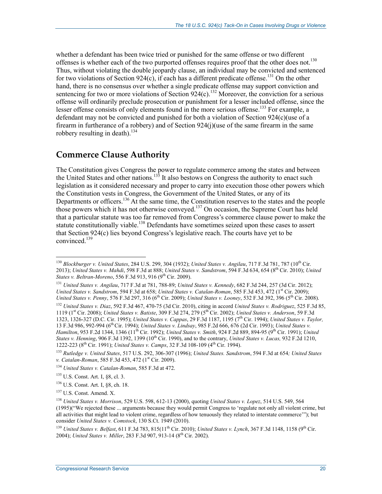whether a defendant has been twice tried or punished for the same offense or two different offenses is whether each of the two purported offenses requires proof that the other does not.<sup>130</sup> Thus, without violating the double jeopardy clause, an individual may be convicted and sentenced for two violations of Section 924(c), if each has a different predicate offense.<sup>131</sup> On the other hand, there is no consensus over whether a single predicate offense may support conviction and sentencing for two or more violations of Section  $924(c)$ .<sup>132</sup> Moreover, the conviction for a serious offense will ordinarily preclude prosecution or punishment for a lesser included offense, since the lesser offense consists of only elements found in the more serious offense.<sup>133</sup> For example, a defendant may not be convicted and punished for both a violation of Section 924(c)(use of a firearm in furtherance of a robbery) and of Section 924(j)(use of the same firearm in the same robbery resulting in death).<sup>134</sup>

#### **Commerce Clause Authority**

The Constitution gives Congress the power to regulate commerce among the states and between the United States and other nations.<sup>135</sup> It also bestows on Congress the authority to enact such legislation as it considered necessary and proper to carry into execution those other powers which the Constitution vests in Congress, the Government of the United States, or any of its Departments or officers.<sup>136</sup> At the same time, the Constitution reserves to the states and the people those powers which it has not otherwise conveyed.137 On occasion, the Supreme Court has held that a particular statute was too far removed from Congress's commerce clause power to make the statute constitutionally viable.<sup>138</sup> Defendants have sometimes seized upon these cases to assert that Section 924(c) lies beyond Congress's legislative reach. The courts have yet to be convinced.139

1

<sup>139</sup> *United States v. Belfast*, 611 F.3d 783, 815(11<sup>th</sup> Cir. 2010); *United States v. Lynch*, 367 F.3d 1148, 1158 (9<sup>th</sup> Cir. 2004); *United States v. Miller*, 283 F.3d 907, 913-14 (8<sup>th</sup> Cir. 2002).

<sup>130</sup> *Blockburger v. United States*, 284 U.S. 299, 304 (1932); *United States v. Angilau*, 717 F.3d 781, 787 (10th Cir. 2013); *United States v. Mahdi*, 598 F.3d at 888; *United States v. Sandstrom*, 594 F.3d 634, 654 (8th Cir. 2010); *United States v. Beltran-Moreno*, 556 F.3d 913, 916 (9<sup>th</sup> Cir. 2009).

<sup>131</sup> *United States v. Angilau*, 717 F.3d at 781, 788-89; *United States v. Kennedy*, 682 F.3d 244, 257 (3d Cir. 2012); *United States v. Sandstrom, 594 F.3d at 658; <i>United States v. Catalan-Roman*, 585 F.3d 453, 472 (1<sup>st</sup> Cir. 2009); *United States v. Penny*, 576 F.3d 297, 316 (6th Cir. 2009); *United States v. Looney*, 532 F.3d 392, 396 (5th Cir. 2008).

<sup>132</sup> *United States v. Diaz*, 592 F.3d 467, 470-75 (3d Cir. 2010), citing in accord *United States v. Rodriguez*, 525 F.3d 85, 1119 (1st Cir. 2008); *United States v. Batiste*, 309 F.3d 274, 279 (5th Cir. 2002); *United States v. Anderson*, 59 F.3d 1323, 1326-327 (D.C. Cir. 1995); *United States v. Cappas*, 29 F.3d 1187, 1195 (7th Cir. 1994); *United States v. Taylor,*  13 F.3d 986, 992-994 (6th Cir. 1994); *United States v. Lindsay*, 985 F.2d 666, 676 (2d Cir. 1993); *United States v. Hamilton*, 953 F.2d 1344, 1346 (11th Cir. 1992); *United States v. Smith*, 924 F.2d 889, 894-95 (9th Cir. 1991); *United States v. Henning*, 906 F.3d 1392, 1399 (10th Cir. 1990), and to the contrary, *United States v. Lucas,* 932 F.2d 1210, 1222-223 (8<sup>th</sup> Cir. 1991); *United States v. Camps*, 32 F.3d 108-109 (4<sup>th</sup> Cir. 1994).

<sup>133</sup> *Rutledge v. United States*, 517 U.S. 292, 306-307 (1996); *United States. Sandstrom*, 594 F.3d at 654*; United States v. Catalan-Roman*, 585 F.3d 453, 472 (1<sup>st</sup> Cir. 2009).

<sup>134</sup> *United States v. Catalan-Roman*, 585 F.3d at 472.

<sup>135</sup> U.S. Const. Art. I, §8, cl. 3.

<sup>136</sup> U.S. Const. Art. I, §8, ch. 18.

<sup>137</sup> U.S. Const. Amend. X.

<sup>138</sup> *United States v. Morrison*, 529 U.S. 598, 612-13 (2000), quoting *United States v. Lopez*, 514 U.S. 549, 564 (1995)("We rejected these ... arguments because they would permit Congress to 'regulate not only all violent crime, but all activities that might lead to violent crime, regardless of how tenuously they related to interstate commerce'"); but consider *United States v. Comstock*, 130 S.Ct. 1949 (2010).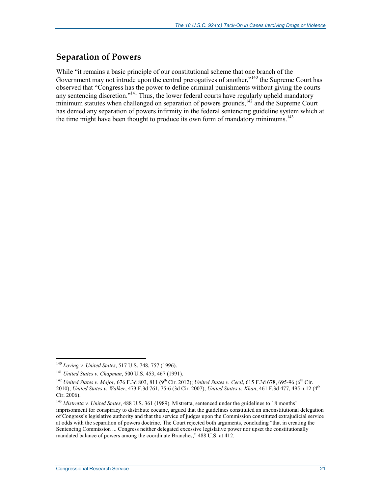## **Separation of Powers**

While "it remains a basic principle of our constitutional scheme that one branch of the Government may not intrude upon the central prerogatives of another,"<sup>140</sup> the Supreme Court has observed that "Congress has the power to define criminal punishments without giving the courts any sentencing discretion."<sup>141</sup> Thus, the lower federal courts have regularly upheld mandatory minimum statutes when challenged on separation of powers grounds,<sup>142</sup> and the Supreme Court has denied any separation of powers infirmity in the federal sentencing guideline system which at the time might have been thought to produce its own form of mandatory minimums.<sup>143</sup>

<u>.</u>

<sup>140</sup> *Loving v. United States*, 517 U.S. 748, 757 (1996).

<sup>141</sup> *United States v. Chapman*, 500 U.S. 453, 467 (1991).

<sup>&</sup>lt;sup>142</sup> *United States v. Major*, 676 F.3d 803, 811 (9<sup>th</sup> Cir. 2012); *United States v. Cecil*, 615 F.3d 678, 695-96 (6<sup>th</sup> Cir. 2010); *United States v. Walker*, 473 F.3d 761, 75-6 (3d Cir. 2007); *United States v. Khan*, 461 F.3d 477, 495 n.12 (4th Cir. 2006).

<sup>143</sup> *Mistretta v. United States*, 488 U.S. 361 (1989). Mistretta, sentenced under the guidelines to 18 months' imprisonment for conspiracy to distribute cocaine, argued that the guidelines constituted an unconstitutional delegation of Congress's legislative authority and that the service of judges upon the Commission constituted extrajudicial service at odds with the separation of powers doctrine. The Court rejected both arguments, concluding "that in creating the Sentencing Commission ... Congress neither delegated excessive legislative power nor upset the constitutionally mandated balance of powers among the coordinate Branches," 488 U.S. at 412.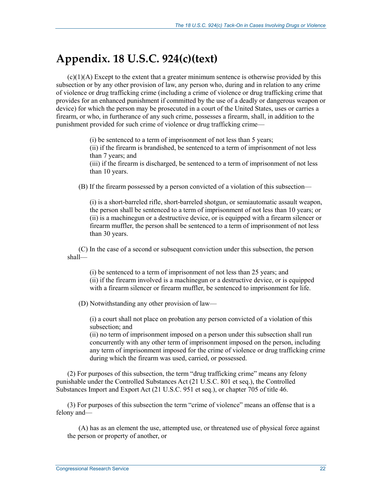## **Appendix. 18 U.S.C. 924(c)(text)**

 $(c)(1)(A)$  Except to the extent that a greater minimum sentence is otherwise provided by this subsection or by any other provision of law, any person who, during and in relation to any crime of violence or drug trafficking crime (including a crime of violence or drug trafficking crime that provides for an enhanced punishment if committed by the use of a deadly or dangerous weapon or device) for which the person may be prosecuted in a court of the United States, uses or carries a firearm, or who, in furtherance of any such crime, possesses a firearm, shall, in addition to the punishment provided for such crime of violence or drug trafficking crime—

> (i) be sentenced to a term of imprisonment of not less than 5 years; (ii) if the firearm is brandished, be sentenced to a term of imprisonment of not less than 7 years; and (iii) if the firearm is discharged, be sentenced to a term of imprisonment of not less than 10 years.

(B) If the firearm possessed by a person convicted of a violation of this subsection—

(i) is a short-barreled rifle, short-barreled shotgun, or semiautomatic assault weapon, the person shall be sentenced to a term of imprisonment of not less than 10 years; or (ii) is a machinegun or a destructive device, or is equipped with a firearm silencer or firearm muffler, the person shall be sentenced to a term of imprisonment of not less than 30 years.

(C) In the case of a second or subsequent conviction under this subsection, the person shall—

(i) be sentenced to a term of imprisonment of not less than 25 years; and (ii) if the firearm involved is a machinegun or a destructive device, or is equipped with a firearm silencer or firearm muffler, be sentenced to imprisonment for life.

(D) Notwithstanding any other provision of law—

(i) a court shall not place on probation any person convicted of a violation of this subsection; and

(ii) no term of imprisonment imposed on a person under this subsection shall run concurrently with any other term of imprisonment imposed on the person, including any term of imprisonment imposed for the crime of violence or drug trafficking crime during which the firearm was used, carried, or possessed.

(2) For purposes of this subsection, the term "drug trafficking crime" means any felony punishable under the Controlled Substances Act (21 U.S.C. 801 et seq.), the Controlled Substances Import and Export Act (21 U.S.C. 951 et seq.), or chapter 705 of title 46.

(3) For purposes of this subsection the term "crime of violence" means an offense that is a felony and—

(A) has as an element the use, attempted use, or threatened use of physical force against the person or property of another, or